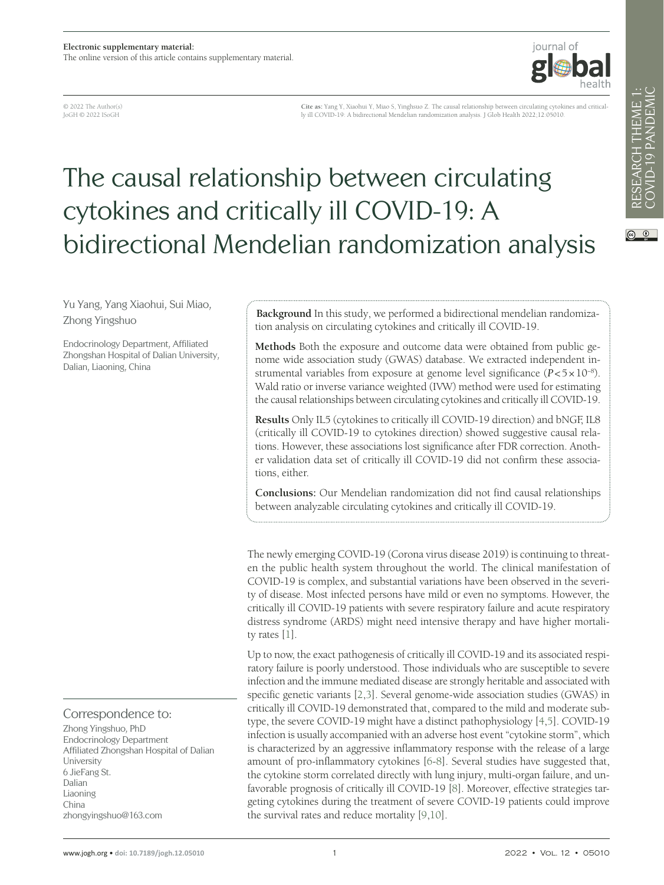

© 2022 The Author(s) JoGH © 2022 ISoGH

**Cite as:** Yang Y, Xiaohui Y, Miao S, Yinghsuo Z. The causal relationship between circulating cytokines and critically ill COVID-19: A bidirectional Mendelian randomization analysis. J Glob Health 2022;12:05010.

# The causal relationship between circulating cytokines and critically ill COVID-19: A bidirectional Mendelian randomization analysis

RESEARCH THEME 1:<br>COVID-19 PANDEMIC RESEARCH THEME 1: COVID-19 PANDEMIC

 $\circledcirc$ 

Yu Yang, Yang Xiaohui, Sui Miao, Zhong Yingshuo

Endocrinology Department, Affiliated Zhongshan Hospital of Dalian University, Dalian, Liaoning, China

## Correspondence to:

Zhong Yingshuo, PhD Endocrinology Department Affiliated Zhongshan Hospital of Dalian University 6 JieFang St. Dalian Liaoning China zhongyingshuo@163.com

**Background** In this study, we performed a bidirectional mendelian randomization analysis on circulating cytokines and critically ill COVID-19.

**Methods** Both the exposure and outcome data were obtained from public genome wide association study (GWAS) database. We extracted independent instrumental variables from exposure at genome level significance (*P*<5×10−8). Wald ratio or inverse variance weighted (IVW) method were used for estimating the causal relationships between circulating cytokines and critically ill COVID-19.

**Results** Only IL5 (cytokines to critically ill COVID-19 direction) and bNGF, IL8 (critically ill COVID-19 to cytokines direction) showed suggestive causal relations. However, these associations lost significance after FDR correction. Another validation data set of critically ill COVID-19 did not confirm these associations, either.

**Conclusions:** Our Mendelian randomization did not find causal relationships between analyzable circulating cytokines and critically ill COVID-19.

The newly emerging COVID-19 (Corona virus disease 2019) is continuing to threaten the public health system throughout the world. The clinical manifestation of COVID-19 is complex, and substantial variations have been observed in the severity of disease. Most infected persons have mild or even no symptoms. However, the critically ill COVID-19 patients with severe respiratory failure and acute respiratory distress syndrome (ARDS) might need intensive therapy and have higher mortality rates [[1\]](#page-6-0).

Up to now, the exact pathogenesis of critically ill COVID-19 and its associated respiratory failure is poorly understood. Those individuals who are susceptible to severe infection and the immune mediated disease are strongly heritable and associated with specific genetic variants [[2](#page-6-1)[,3](#page-6-2)]. Several genome-wide association studies (GWAS) in critically ill COVID-19 demonstrated that, compared to the mild and moderate subtype, the severe COVID-19 might have a distinct pathophysiology [\[4,](#page-6-3)[5](#page-7-0)]. COVID-19 infection is usually accompanied with an adverse host event "cytokine storm", which is characterized by an aggressive inflammatory response with the release of a large amount of pro-inflammatory cytokines [[6](#page-7-1)[-8](#page-7-2)]. Several studies have suggested that, the cytokine storm correlated directly with lung injury, multi-organ failure, and unfavorable prognosis of critically ill COVID-19 [[8\]](#page-7-2). Moreover, effective strategies targeting cytokines during the treatment of severe COVID-19 patients could improve the survival rates and reduce mortality [\[9](#page-7-3),[10\]](#page-7-4).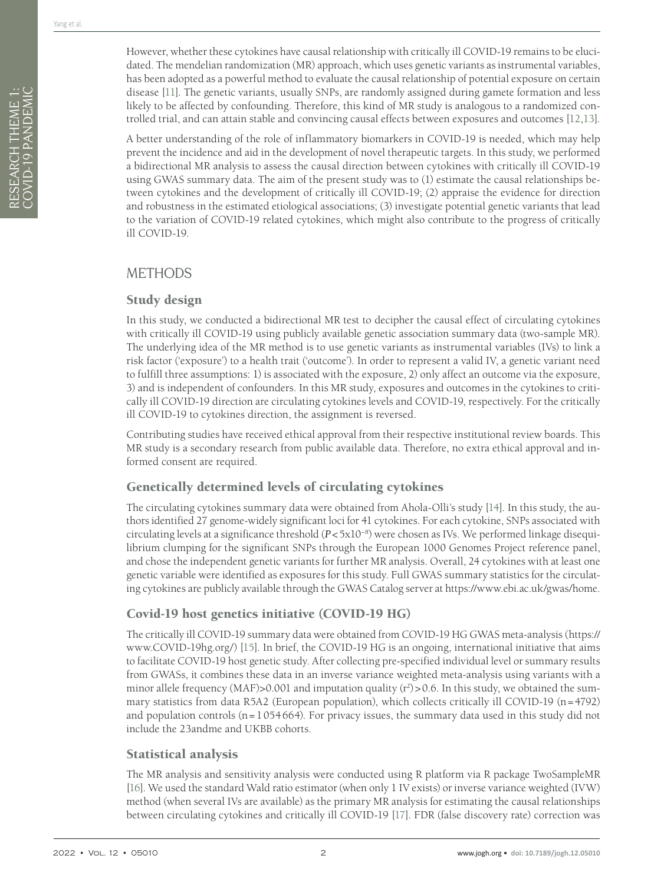However, whether these cytokines have causal relationship with critically ill COVID-19 remains to be elucidated. The mendelian randomization (MR) approach, which uses genetic variants as instrumental variables, has been adopted as a powerful method to evaluate the causal relationship of potential exposure on certain disease [\[11](#page-7-5)]. The genetic variants, usually SNPs, are randomly assigned during gamete formation and less likely to be affected by confounding. Therefore, this kind of MR study is analogous to a randomized controlled trial, and can attain stable and convincing causal effects between exposures and outcomes [\[12](#page-7-6)[,13](#page-7-7)].

A better understanding of the role of inflammatory biomarkers in COVID-19 is needed, which may help prevent the incidence and aid in the development of novel therapeutic targets. In this study, we performed a bidirectional MR analysis to assess the causal direction between cytokines with critically ill COVID-19 using GWAS summary data. The aim of the present study was to (1) estimate the causal relationships between cytokines and the development of critically ill COVID-19; (2) appraise the evidence for direction and robustness in the estimated etiological associations; (3) investigate potential genetic variants that lead to the variation of COVID-19 related cytokines, which might also contribute to the progress of critically ill COVID-19.

# METHODS

# Study design

In this study, we conducted a bidirectional MR test to decipher the causal effect of circulating cytokines with critically ill COVID-19 using publicly available genetic association summary data (two-sample MR). The underlying idea of the MR method is to use genetic variants as instrumental variables (IVs) to link a risk factor ('exposure') to a health trait ('outcome'). In order to represent a valid IV, a genetic variant need to fulfill three assumptions: 1) is associated with the exposure, 2) only affect an outcome via the exposure, 3) and is independent of confounders. In this MR study, exposures and outcomes in the cytokines to critically ill COVID-19 direction are circulating cytokines levels and COVID-19, respectively. For the critically ill COVID-19 to cytokines direction, the assignment is reversed.

Contributing studies have received ethical approval from their respective institutional review boards. This MR study is a secondary research from public available data. Therefore, no extra ethical approval and informed consent are required.

# Genetically determined levels of circulating cytokines

The circulating cytokines summary data were obtained from Ahola-Olli's study [\[14\]](#page-7-8). In this study, the authors identified 27 genome-widely significant loci for 41 cytokines. For each cytokine, SNPs associated with circulating levels at a significance threshold (*P*<5x10−8) were chosen as IVs. We performed linkage disequilibrium clumping for the significant SNPs through the European 1000 Genomes Project reference panel, and chose the independent genetic variants for further MR analysis. Overall, 24 cytokines with at least one genetic variable were identified as exposures for this study. Full GWAS summary statistics for the circulating cytokines are publicly available through the GWAS Catalog server at https://www.ebi.ac.uk/gwas/home.

# Covid-19 host genetics initiative (COVID-19 HG)

The critically ill COVID-19 summary data were obtained from COVID-19 HG GWAS meta-analysis [\(https://](https://www.COVID-19hg.org/) [www.COVID-19hg.org/\)](https://www.COVID-19hg.org/) [\[15\]](#page-7-9). In brief, the COVID-19 HG is an ongoing, international initiative that aims to facilitate COVID-19 host genetic study. After collecting pre-specified individual level or summary results from GWASs, it combines these data in an inverse variance weighted meta-analysis using variants with a minor allele frequency (MAF)>0.001 and imputation quality  $(r^2)$ >0.6. In this study, we obtained the summary statistics from data R5A2 (European population), which collects critically ill COVID-19 (n=4792) and population controls ( $n=1054664$ ). For privacy issues, the summary data used in this study did not include the 23andme and UKBB cohorts.

# Statistical analysis

The MR analysis and sensitivity analysis were conducted using R platform via R package TwoSampleMR [\[16](#page-7-10)]. We used the standard Wald ratio estimator (when only 1 IV exists) or inverse variance weighted (IVW) method (when several IVs are available) as the primary MR analysis for estimating the causal relationships between circulating cytokines and critically ill COVID-19 [\[17](#page-7-11)]. FDR (false discovery rate) correction was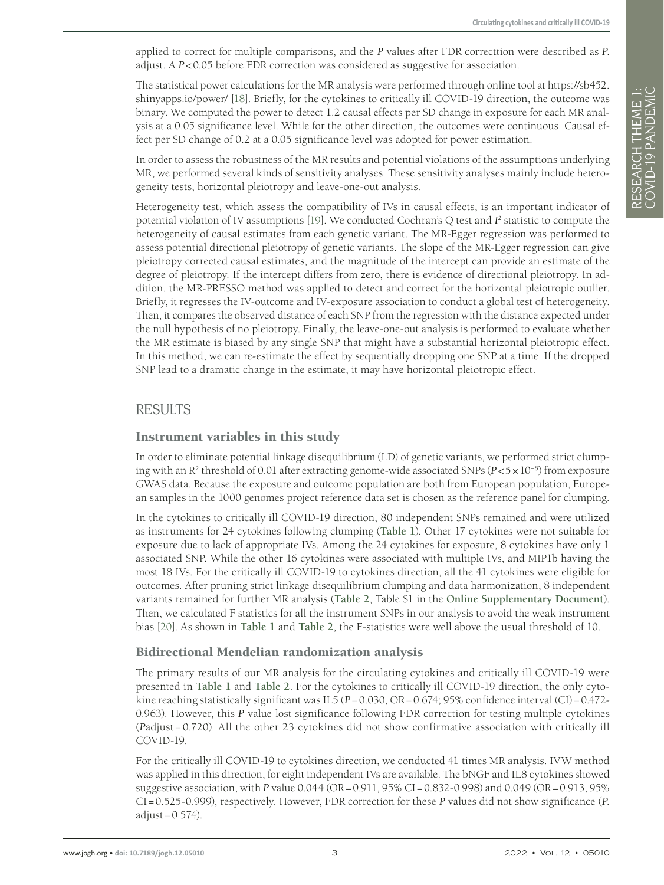applied to correct for multiple comparisons, and the *P* values after FDR correcttion were described as *P*. adjust. A *P*<0.05 before FDR correction was considered as suggestive for association.

The statistical power calculations for the MR analysis were performed through online tool at [https://sb452.](https://sb452.shinyapps.io/power/) [shinyapps.io/power/](https://sb452.shinyapps.io/power/) [\[18\]](#page-7-12). Briefly, for the cytokines to critically ill COVID-19 direction, the outcome was binary. We computed the power to detect 1.2 causal effects per SD change in exposure for each MR analysis at a 0.05 significance level. While for the other direction, the outcomes were continuous. Causal effect per SD change of 0.2 at a 0.05 significance level was adopted for power estimation.

In order to assess the robustness of the MR results and potential violations of the assumptions underlying MR, we performed several kinds of sensitivity analyses. These sensitivity analyses mainly include heterogeneity tests, horizontal pleiotropy and leave-one-out analysis.

Heterogeneity test, which assess the compatibility of IVs in causal effects, is an important indicator of potential violation of IV assumptions [\[19\]](#page-7-13). We conducted Cochran's Q test and  $I^2$  statistic to compute the heterogeneity of causal estimates from each genetic variant. The MR-Egger regression was performed to assess potential directional pleiotropy of genetic variants. The slope of the MR-Egger regression can give pleiotropy corrected causal estimates, and the magnitude of the intercept can provide an estimate of the degree of pleiotropy. If the intercept differs from zero, there is evidence of directional pleiotropy. In addition, the MR-PRESSO method was applied to detect and correct for the horizontal pleiotropic outlier. Briefly, it regresses the IV-outcome and IV-exposure association to conduct a global test of heterogeneity. Then, it compares the observed distance of each SNP from the regression with the distance expected under the null hypothesis of no pleiotropy. Finally, the leave-one-out analysis is performed to evaluate whether the MR estimate is biased by any single SNP that might have a substantial horizontal pleiotropic effect. In this method, we can re-estimate the effect by sequentially dropping one SNP at a time. If the dropped SNP lead to a dramatic change in the estimate, it may have horizontal pleiotropic effect.

# RESULTS

### Instrument variables in this study

In order to eliminate potential linkage disequilibrium (LD) of genetic variants, we performed strict clumping with an R2 threshold of 0.01 after extracting genome-wide associated SNPs (*P*<5×10−8) from exposure GWAS data. Because the exposure and outcome population are both from European population, European samples in the 1000 genomes project reference data set is chosen as the reference panel for clumping.

In the cytokines to critically ill COVID-19 direction, 80 independent SNPs remained and were utilized as instruments for 24 cytokines following clumping (**[Table](#page-3-0) 1**). Other 17 cytokines were not suitable for exposure due to lack of appropriate IVs. Among the 24 cytokines for exposure, 8 cytokines have only 1 associated SNP. While the other 16 cytokines were associated with multiple IVs, and MIP1b having the most 18 IVs. For the critically ill COVID-19 to cytokines direction, all the 41 cytokines were eligible for outcomes. After pruning strict linkage disequilibrium clumping and data harmonization, 8 independent variants remained for further MR analysis (**[Table](#page-3-1) 2**, Table S1 in the **Online [Supplementary](#page-6-4) Document**). Then, we calculated F statistics for all the instrument SNPs in our analysis to avoid the weak instrument bias [\[20](#page-7-14)]. As shown in **[Table](#page-3-0) 1** and **[Table](#page-3-1) 2**, the F-statistics were well above the usual threshold of 10.

## Bidirectional Mendelian randomization analysis

The primary results of our MR analysis for the circulating cytokines and critically ill COVID-19 were presented in **[Table](#page-3-0) 1** and **[Table](#page-3-1) 2**. For the cytokines to critically ill COVID-19 direction, the only cytokine reaching statistically significant was IL5 ( $P = 0.030$ ,  $OR = 0.674$ ; 95% confidence interval (CI)=0.472-0.963). However, this *P* value lost significance following FDR correction for testing multiple cytokines (*P*adjust = 0.720). All the other 23 cytokines did not show confirmative association with critically ill COVID-19.

For the critically ill COVID-19 to cytokines direction, we conducted 41 times MR analysis. IVW method was applied in this direction, for eight independent IVs are available. The bNGF and IL8 cytokines showed suggestive association, with *P* value 0.044 (OR=0.911, 95% CI=0.832-0.998) and 0.049 (OR=0.913, 95% CI=0.525-0.999), respectively. However, FDR correction for these *P* values did not show significance (*P*.  $adjust = 0.574$ ).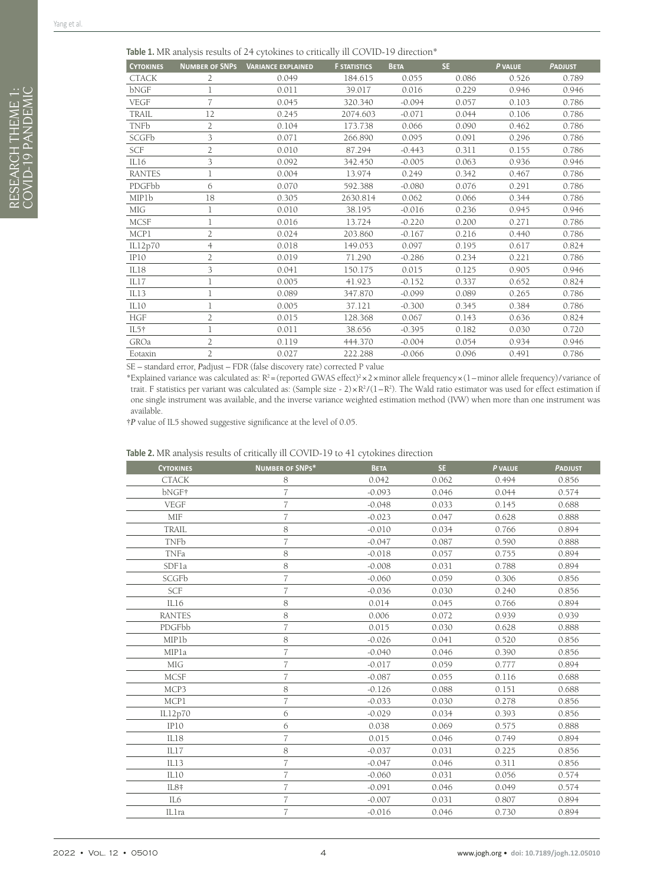<span id="page-3-0"></span>

| <b>CYTOKINES</b>          | <b>NUMBER OF SNPS</b> | <b>VARIANCE EXPLAINED</b>                     | <b>F STATISTICS</b> | <b>BETA</b> | SE.   | P VALUE | <b>PADJUST</b> |
|---------------------------|-----------------------|-----------------------------------------------|---------------------|-------------|-------|---------|----------------|
| <b>CTACK</b>              | 2                     | 0.049                                         | 184.615             | 0.055       | 0.086 | 0.526   | 0.789          |
| bNGF                      | 1                     | 0.011                                         | 39.017              | 0.016       | 0.229 | 0.946   | 0.946          |
| <b>VEGF</b>               | 7                     | 0.045                                         | 320.340             | $-0.094$    | 0.057 | 0.103   | 0.786          |
| TRAIL                     | 12                    | 0.245                                         | 2074.603            | $-0.071$    | 0.044 | 0.106   | 0.786          |
| <b>TNFb</b>               | 2                     | 0.104                                         | 173.738             | 0.066       | 0.090 | 0.462   | 0.786          |
| SCGFb                     | 3                     | 0.071                                         | 266.890             | 0.095       | 0.091 | 0.296   | 0.786          |
| SCF                       | $\overline{2}$        | 0.010                                         | 87.294              | $-0.443$    | 0.311 | 0.155   | 0.786          |
| IL16                      | 3                     | 0.092                                         | 342.450             | $-0.005$    | 0.063 | 0.936   | 0.946          |
| <b>RANTES</b>             | 1                     | 0.004                                         | 13.974              | 0.249       | 0.342 | 0.467   | 0.786          |
| PDGFbb                    | 6                     | 0.070                                         | 592.388             | $-0.080$    | 0.076 | 0.291   | 0.786          |
| <b>MIP1b</b>              | 18                    | 0.305                                         | 2630.814            | 0.062       | 0.066 | 0.344   | 0.786          |
| MIG                       |                       | 0.010                                         | 38.195              | $-0.016$    | 0.236 | 0.945   | 0.946          |
| <b>MCSF</b>               |                       | 0.016                                         | 13.724              | $-0.220$    | 0.200 | 0.271   | 0.786          |
| MCP1                      | $\overline{2}$        | 0.024                                         | 203.860             | $-0.167$    | 0.216 | 0.440   | 0.786          |
| IL12p70                   | $\overline{4}$        | 0.018                                         | 149.053             | 0.097       | 0.195 | 0.617   | 0.824          |
| IP10                      | 2                     | 0.019                                         | 71.290              | $-0.286$    | 0.234 | 0.221   | 0.786          |
| IL18                      | 3                     | 0.041                                         | 150.175             | 0.015       | 0.125 | 0.905   | 0.946          |
| IL17                      | 1                     | 0.005                                         | 41.923              | $-0.152$    | 0.337 | 0.652   | 0.824          |
| IL13                      |                       | 0.089                                         | 347.870             | $-0.099$    | 0.089 | 0.265   | 0.786          |
| IL10                      |                       | 0.005                                         | 37.121              | $-0.300$    | 0.345 | 0.384   | 0.786          |
| <b>HGF</b>                | 2                     | 0.015                                         | 128.368             | 0.067       | 0.143 | 0.636   | 0.824          |
| $IL5+$                    |                       | 0.011                                         | 38.656              | $-0.395$    | 0.182 | 0.030   | 0.720          |
| GROa                      | $\overline{2}$        | 0.119                                         | 444.370             | $-0.004$    | 0.054 | 0.934   | 0.946          |
| Eotaxin                   | $\overline{2}$        | 0.027                                         | 222.288             | $-0.066$    | 0.096 | 0.491   | 0.786          |
| $\mathbf{1}$ $\mathbf{1}$ | $T^2$ 1.              | $T \cap D \neq (0, 1, 1, 1)$<br>$\sim$ $\sim$ | 1 <sub>m</sub> 1    |             |       |         |                |

SE – standard error, *P*adjust – FDR (false discovery rate) corrected P value

\*Explained variance was calculated as: R2 =(reported GWAS effect)2 ×2×minor allele frequency×(1–minor allele frequency)/variance of trait. F statistics per variant was calculated as: (Sample size -  $2) \times R^2/(1 - R^2)$ . The Wald ratio estimator was used for effect estimation if one single instrument was available, and the inverse variance weighted estimation method (IVW) when more than one instrument was available.

†*P* value of IL5 showed suggestive significance at the level of 0.05.

#### <span id="page-3-1"></span>**Table 2.** MR analysis results of critically ill COVID-19 to 41 cytokines direction

| <b>CYTOKINES</b> | <b>NUMBER OF SNPS*</b> | <b>BETA</b> | SE.   | P VALUE | <b>PADJUST</b> |
|------------------|------------------------|-------------|-------|---------|----------------|
| <b>CTACK</b>     | 8                      | 0.042       | 0.062 | 0.494   | 0.856          |
| bNGF†            |                        | $-0.093$    | 0.046 | 0.044   | 0.574          |
| <b>VEGF</b>      | 7                      | $-0.048$    | 0.033 | 0.145   | 0.688          |
| <b>MIF</b>       | $\overline{7}$         | $-0.023$    | 0.047 | 0.628   | 0.888          |
| <b>TRAIL</b>     | 8                      | $-0.010$    | 0.034 | 0.766   | 0.894          |
| <b>TNFb</b>      | 7                      | $-0.047$    | 0.087 | 0.590   | 0.888          |
| TNFa             | 8                      | $-0.018$    | 0.057 | 0.755   | 0.894          |
| SDFla            | 8                      | $-0.008$    | 0.031 | 0.788   | 0.894          |
| SCGFb            | 7                      | $-0.060$    | 0.059 | 0.306   | 0.856          |
| SCF              | $\overline{7}$         | $-0.036$    | 0.030 | 0.240   | 0.856          |
| IL16             | 8                      | 0.014       | 0.045 | 0.766   | 0.894          |
| <b>RANTES</b>    | 8                      | 0.006       | 0.072 | 0.939   | 0.939          |
| PDGFbb           | 7                      | 0.015       | 0.030 | 0.628   | 0.888          |
| MIP1b            | 8                      | $-0.026$    | 0.041 | 0.520   | 0.856          |
| MIPla            | $\overline{7}$         | $-0.040$    | 0.046 | 0.390   | 0.856          |
| <b>MIG</b>       | 7                      | $-0.017$    | 0.059 | 0.777   | 0.894          |
| <b>MCSF</b>      | 7                      | $-0.087$    | 0.055 | 0.116   | 0.688          |
| MCP3             | 8                      | $-0.126$    | 0.088 | 0.151   | 0.688          |
| MCP1             | 7                      | $-0.033$    | 0.030 | 0.278   | 0.856          |
| IL12p70          | 6                      | $-0.029$    | 0.034 | 0.393   | 0.856          |
| IP10             | 6                      | 0.038       | 0.069 | 0.575   | 0.888          |
| IL18             | $\overline{7}$         | 0.015       | 0.046 | 0.749   | 0.894          |
| IL17             | 8                      | $-0.037$    | 0.031 | 0.225   | 0.856          |
| IL13             | 7                      | $-0.047$    | 0.046 | 0.311   | 0.856          |
| IL10             | 7                      | $-0.060$    | 0.031 | 0.056   | 0.574          |
| IL8 <sup>‡</sup> | $\overline{7}$         | $-0.091$    | 0.046 | 0.049   | 0.574          |
| IL6              | $\overline{7}$         | $-0.007$    | 0.031 | 0.807   | 0.894          |
| ILlra            | 7                      | $-0.016$    | 0.046 | 0.730   | 0.894          |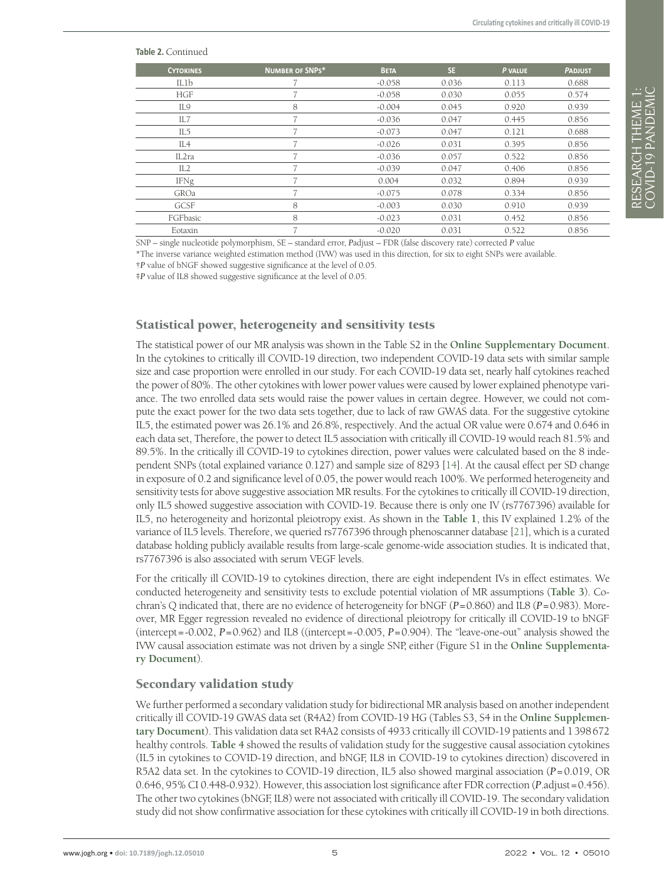#### **Table 2.** Continued

| <b>CYTOKINES</b> | <b>NUMBER OF SNPS*</b>   | <b>BETA</b> | SE.   | P VALUE | <b>PADJUST</b> |
|------------------|--------------------------|-------------|-------|---------|----------------|
| ILlb             |                          | $-0.058$    | 0.036 | 0.113   | 0.688          |
| <b>HGF</b>       |                          | $-0.058$    | 0.030 | 0.055   | 0.574          |
| IL9              | 8                        | $-0.004$    | 0.045 | 0.920   | 0.939          |
| IL7              |                          | $-0.036$    | 0.047 | 0.445   | 0.856          |
| IL5              |                          | $-0.073$    | 0.047 | 0.121   | 0.688          |
| IL <sub>4</sub>  |                          | $-0.026$    | 0.031 | 0.395   | 0.856          |
| IL2ra            |                          | $-0.036$    | 0.057 | 0.522   | 0.856          |
| IL2              |                          | $-0.039$    | 0.047 | 0.406   | 0.856          |
| IFNg             |                          | 0.004       | 0.032 | 0.894   | 0.939          |
| GROa             |                          | $-0.075$    | 0.078 | 0.334   | 0.856          |
| GCSF             | 8                        | $-0.003$    | 0.030 | 0.910   | 0.939          |
| FGFbasic         | 8                        | $-0.023$    | 0.031 | 0.452   | 0.856          |
| Eotaxin          | $\overline{\phantom{a}}$ | $-0.020$    | 0.031 | 0.522   | 0.856          |

SNP – single nucleotide polymorphism, SE – standard error, *P*adjust – FDR (false discovery rate) corrected *P* value

\*The inverse variance weighted estimation method (IVW) was used in this direction, for six to eight SNPs were available.

†*P* value of bNGF showed suggestive significance at the level of 0.05.

‡*P* value of IL8 showed suggestive significance at the level of 0.05.

## Statistical power, heterogeneity and sensitivity tests

The statistical power of our MR analysis was shown in the Table S2 in the **Online [Supplementary](#page-6-4) Document**. In the cytokines to critically ill COVID-19 direction, two independent COVID-19 data sets with similar sample size and case proportion were enrolled in our study. For each COVID-19 data set, nearly half cytokines reached the power of 80%. The other cytokines with lower power values were caused by lower explained phenotype variance. The two enrolled data sets would raise the power values in certain degree. However, we could not compute the exact power for the two data sets together, due to lack of raw GWAS data. For the suggestive cytokine IL5, the estimated power was 26.1% and 26.8%, respectively. And the actual OR value were 0.674 and 0.646 in each data set, Therefore, the power to detect IL5 association with critically ill COVID-19 would reach 81.5% and 89.5%. In the critically ill COVID-19 to cytokines direction, power values were calculated based on the 8 independent SNPs (total explained variance 0.127) and sample size of 8293 [[14\]](#page-7-8). At the causal effect per SD change in exposure of 0.2 and significance level of 0.05, the power would reach 100%. We performed heterogeneity and sensitivity tests for above suggestive association MR results. For the cytokines to critically ill COVID-19 direction, only IL5 showed suggestive association with COVID-19. Because there is only one IV (rs7767396) available for IL5, no heterogeneity and horizontal pleiotropy exist. As shown in the **[Table](#page-3-0) 1**, this IV explained 1.2% of the variance of IL5 levels. Therefore, we queried rs7767396 through phenoscanner database [\[21\]](#page-7-15), which is a curated database holding publicly available results from large-scale genome-wide association studies. It is indicated that, rs7767396 is also associated with serum VEGF levels.

For the critically ill COVID-19 to cytokines direction, there are eight independent IVs in effect estimates. We conducted heterogeneity and sensitivity tests to exclude potential violation of MR assumptions (**[Table](#page-5-0) 3**). Cochran's Q indicated that, there are no evidence of heterogeneity for bNGF (*P*=0.860) and IL8 (*P*=0.983). Moreover, MR Egger regression revealed no evidence of directional pleiotropy for critically ill COVID-19 to bNGF (intercept=-0.002, *P*=0.962) and IL8 ((intercept=-0.005, *P*=0.904). The "leave-one-out" analysis showed the IVW causal association estimate was not driven by a single SNP, either (Figure S1 in the **Online [Supplementa](#page-6-4)ry [Document](#page-6-4)**).

#### Secondary validation study

We further performed a secondary validation study for bidirectional MR analysis based on another independent critically ill COVID-19 GWAS data set (R4A2) from COVID-19 HG (Tables S3, S4 in the **Online [Supplemen](#page-6-4)tary [Document](#page-6-4)**). This validation data set R4A2 consists of 4933 critically ill COVID-19 patients and 1398672 healthy controls. **[Table](#page-5-1) 4** showed the results of validation study for the suggestive causal association cytokines (IL5 in cytokines to COVID-19 direction, and bNGF, IL8 in COVID-19 to cytokines direction) discovered in R5A2 data set. In the cytokines to COVID-19 direction, IL5 also showed marginal association (*P*=0.019, OR 0.646, 95% CI 0.448-0.932). However, this association lost significance after FDR correction (*P*.adjust=0.456). The other two cytokines (bNGF, IL8) were not associated with critically ill COVID-19. The secondary validation study did not show confirmative association for these cytokines with critically ill COVID-19 in both directions.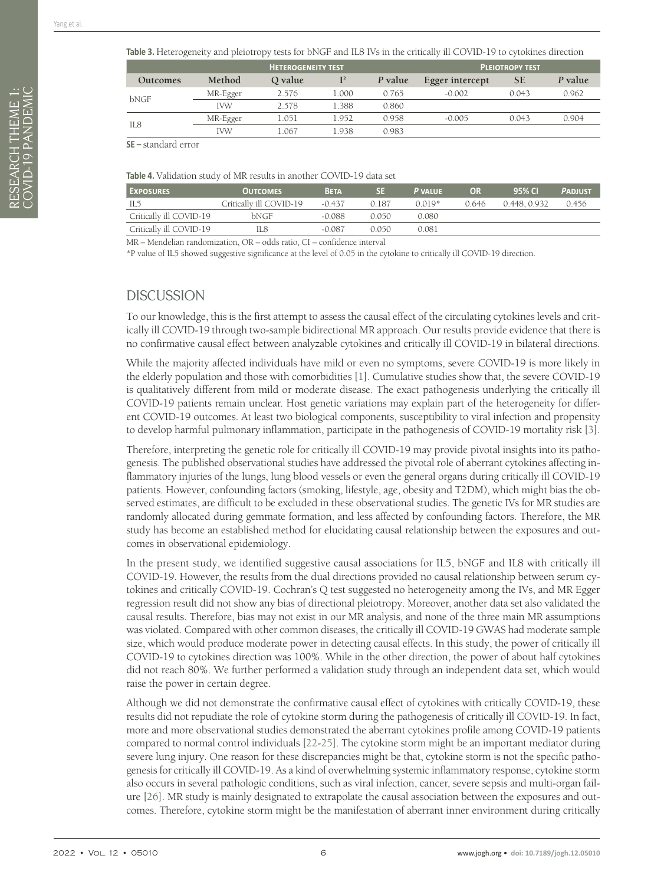<span id="page-5-0"></span>

|                 | <b>HETEROGENEITY TEST</b> |         |       |         |                 | <b>PLEIOTROPY TEST</b> |         |
|-----------------|---------------------------|---------|-------|---------|-----------------|------------------------|---------|
| <b>Outcomes</b> | Method                    | Q value | $I^2$ | P value | Egger intercept | <b>SE</b>              | P value |
| bNGF            | MR-Egger                  | 2.576   | 1.000 | 0.765   | $-0.002$        | 0.043                  | 0.962   |
|                 | <b>IVW</b>                | 2.578   | 1.388 | 0.860   |                 |                        |         |
| IL8             | MR-Egger                  | 1.051   | 1.952 | 0.958   | $-0.005$        | 0.043                  | 0.904   |
|                 | <b>IVW</b>                | 1.067   | 1.938 | 0.983   |                 |                        |         |

**SE –** standard error

<span id="page-5-1"></span>

| Table 4. Validation study of MR results in another COVID-19 data set |  |
|----------------------------------------------------------------------|--|
|----------------------------------------------------------------------|--|

| <b>EXPOSURES</b>        | <b>OUTCOMES</b>         | <b>BETA</b> | <b>SE</b> | <b>P</b> VALUE | OR.   | 95% CI      | <b>PADJUST</b> |
|-------------------------|-------------------------|-------------|-----------|----------------|-------|-------------|----------------|
| IL5                     | Critically ill COVID-19 | $-0.437$    | 0.187     | $0.019*$       | 0.646 | 0.448 0.932 | 0.456          |
| Critically ill COVID-19 | bNGF                    | $-0.088$    | O 050     | 0.080          |       |             |                |
| Critically ill COVID-19 | L8                      | $-0.087$    | O 050     | 0.081          |       |             |                |
|                         |                         |             |           |                |       |             |                |

MR – Mendelian randomization, OR – odds ratio, CI – confidence interval

\*P value of IL5 showed suggestive significance at the level of 0.05 in the cytokine to critically ill COVID-19 direction.

## **DISCUSSION**

To our knowledge, this is the first attempt to assess the causal effect of the circulating cytokines levels and critically ill COVID-19 through two-sample bidirectional MR approach. Our results provide evidence that there is no confirmative causal effect between analyzable cytokines and critically ill COVID-19 in bilateral directions.

While the majority affected individuals have mild or even no symptoms, severe COVID-19 is more likely in the elderly population and those with comorbidities [\[1](#page-6-0)]. Cumulative studies show that, the severe COVID-19 is qualitatively different from mild or moderate disease. The exact pathogenesis underlying the critically ill COVID-19 patients remain unclear. Host genetic variations may explain part of the heterogeneity for different COVID-19 outcomes. At least two biological components, susceptibility to viral infection and propensity to develop harmful pulmonary inflammation, participate in the pathogenesis of COVID-19 mortality risk [[3\]](#page-6-2).

Therefore, interpreting the genetic role for critically ill COVID-19 may provide pivotal insights into its pathogenesis. The published observational studies have addressed the pivotal role of aberrant cytokines affecting inflammatory injuries of the lungs, lung blood vessels or even the general organs during critically ill COVID-19 patients. However, confounding factors (smoking, lifestyle, age, obesity and T2DM), which might bias the observed estimates, are difficult to be excluded in these observational studies. The genetic IVs for MR studies are randomly allocated during gemmate formation, and less affected by confounding factors. Therefore, the MR study has become an established method for elucidating causal relationship between the exposures and outcomes in observational epidemiology.

In the present study, we identified suggestive causal associations for IL5, bNGF and IL8 with critically ill COVID-19. However, the results from the dual directions provided no causal relationship between serum cytokines and critically COVID-19. Cochran's Q test suggested no heterogeneity among the IVs, and MR Egger regression result did not show any bias of directional pleiotropy. Moreover, another data set also validated the causal results. Therefore, bias may not exist in our MR analysis, and none of the three main MR assumptions was violated. Compared with other common diseases, the critically ill COVID-19 GWAS had moderate sample size, which would produce moderate power in detecting causal effects. In this study, the power of critically ill COVID-19 to cytokines direction was 100%. While in the other direction, the power of about half cytokines did not reach 80%. We further performed a validation study through an independent data set, which would raise the power in certain degree.

Although we did not demonstrate the confirmative causal effect of cytokines with critically COVID-19, these results did not repudiate the role of cytokine storm during the pathogenesis of critically ill COVID-19. In fact, more and more observational studies demonstrated the aberrant cytokines profile among COVID-19 patients compared to normal control individuals [[22](#page-7-16)[-25](#page-7-17)]. The cytokine storm might be an important mediator during severe lung injury. One reason for these discrepancies might be that, cytokine storm is not the specific pathogenesis for critically ill COVID-19. As a kind of overwhelming systemic inflammatory response, cytokine storm also occurs in several pathologic conditions, such as viral infection, cancer, severe sepsis and multi-organ failure [[26](#page-7-18)]. MR study is mainly designated to extrapolate the causal association between the exposures and outcomes. Therefore, cytokine storm might be the manifestation of aberrant inner environment during critically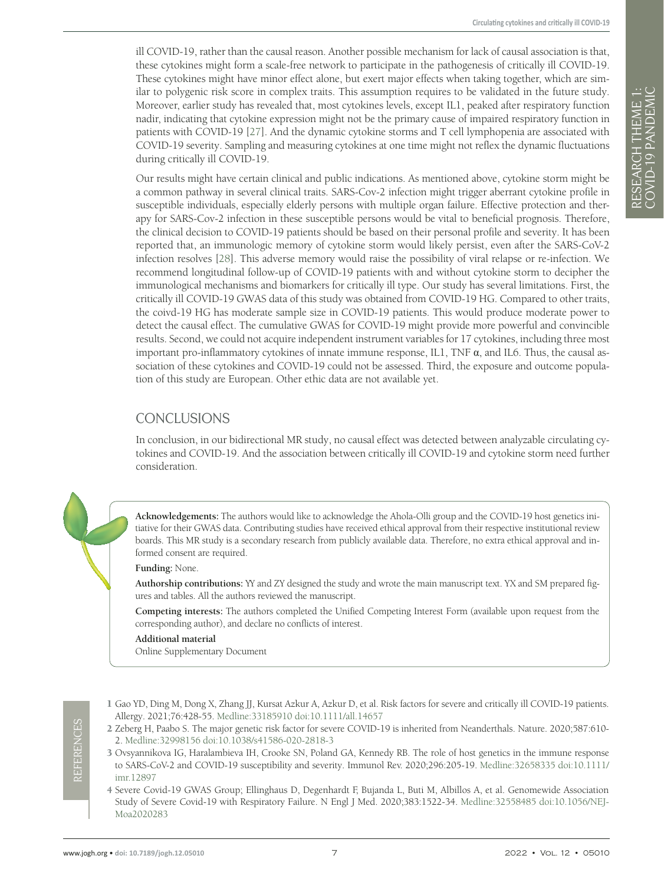ill COVID-19, rather than the causal reason. Another possible mechanism for lack of causal association is that, these cytokines might form a scale-free network to participate in the pathogenesis of critically ill COVID-19. These cytokines might have minor effect alone, but exert major effects when taking together, which are similar to polygenic risk score in complex traits. This assumption requires to be validated in the future study. Moreover, earlier study has revealed that, most cytokines levels, except IL1, peaked after respiratory function nadir, indicating that cytokine expression might not be the primary cause of impaired respiratory function in patients with COVID-19 [\[27](#page-7-19)]. And the dynamic cytokine storms and T cell lymphopenia are associated with COVID-19 severity. Sampling and measuring cytokines at one time might not reflex the dynamic fluctuations during critically ill COVID-19.

Our results might have certain clinical and public indications. As mentioned above, cytokine storm might be a common pathway in several clinical traits. SARS-Cov-2 infection might trigger aberrant cytokine profile in susceptible individuals, especially elderly persons with multiple organ failure. Effective protection and therapy for SARS-Cov-2 infection in these susceptible persons would be vital to beneficial prognosis. Therefore, the clinical decision to COVID-19 patients should be based on their personal profile and severity. It has been reported that, an immunologic memory of cytokine storm would likely persist, even after the SARS-CoV-2 infection resolves [\[28\]](#page-7-20). This adverse memory would raise the possibility of viral relapse or re-infection. We recommend longitudinal follow-up of COVID-19 patients with and without cytokine storm to decipher the immunological mechanisms and biomarkers for critically ill type. Our study has several limitations. First, the critically ill COVID-19 GWAS data of this study was obtained from COVID-19 HG. Compared to other traits, the coivd-19 HG has moderate sample size in COVID-19 patients. This would produce moderate power to detect the causal effect. The cumulative GWAS for COVID-19 might provide more powerful and convincible results. Second, we could not acquire independent instrument variables for 17 cytokines, including three most important pro-inflammatory cytokines of innate immune response, IL1, TNF  $\alpha$ , and IL6. Thus, the causal association of these cytokines and COVID-19 could not be assessed. Third, the exposure and outcome population of this study are European. Other ethic data are not available yet.

# CONCLUSIONS

In conclusion, in our bidirectional MR study, no causal effect was detected between analyzable circulating cytokines and COVID-19. And the association between critically ill COVID-19 and cytokine storm need further consideration.

**Acknowledgements:** The authors would like to acknowledge the Ahola-Olli group and the COVID-19 host genetics initiative for their GWAS data. Contributing studies have received ethical approval from their respective institutional review boards. This MR study is a secondary research from publicly available data. Therefore, no extra ethical approval and informed consent are required.

#### **Funding:** None.

**Authorship contributions:** YY and ZY designed the study and wrote the main manuscript text. YX and SM prepared figures and tables. All the authors reviewed the manuscript.

**Competing interests:** The authors completed the Unified Competing Interest Form (available upon request from the corresponding author), and declare no conflicts of interest.

#### **Additional material**

<span id="page-6-4"></span>[Online Supplementary Document](https://jogh.org/documents/2022/jogh-12-05010-s001.pdf)

<span id="page-6-0"></span>1 Gao YD, Ding M, Dong X, Zhang JJ, Kursat Azkur A, Azkur D, et al. Risk factors for severe and critically ill COVID-19 patients. Allergy. 2021;76:428-55. [Medline:33185910](https://pubmed.ncbi.nlm.nih.gov/33185910) [doi:10.1111/all.14657](https://doi.org/10.1111/all.14657)

- <span id="page-6-1"></span>2 Zeberg H, Paabo S. The major genetic risk factor for severe COVID-19 is inherited from Neanderthals. Nature. 2020;587:610- 2. [Medline:32998156](https://pubmed.ncbi.nlm.nih.gov/32998156) [doi:10.1038/s41586-020-2818-3](https://doi.org/10.1038/s41586-020-2818-3)
- <span id="page-6-2"></span>3 Ovsyannikova IG, Haralambieva IH, Crooke SN, Poland GA, Kennedy RB. The role of host genetics in the immune response to SARS-CoV-2 and COVID-19 susceptibility and severity. Immunol Rev. 2020;296:205-19. [Medline:32658335](https://pubmed.ncbi.nlm.nih.gov/32658335) [doi:10.1111/](https://doi.org/10.1111/imr.12897) [imr.12897](https://doi.org/10.1111/imr.12897)
- <span id="page-6-3"></span>4 Severe Covid-19 GWAS Group; Ellinghaus D, Degenhardt F, Bujanda L, Buti M, Albillos A, et al. Genomewide Association Study of Severe Covid-19 with Respiratory Failure. N Engl J Med. 2020;383:1522-34. [Medline:32558485](https://pubmed.ncbi.nlm.nih.gov/32558485) [doi:10.1056/NEJ-](https://doi.org/10.1056/NEJMoa2020283)[Moa2020283](https://doi.org/10.1056/NEJMoa2020283)